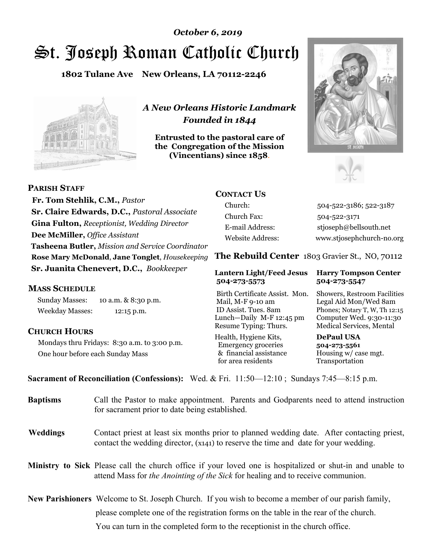# St. Joseph Roman Catholic Church *October 6, 2019*

**1802 Tulane Ave New Orleans, LA 70112-2246**



*A New Orleans Historic Landmark Founded in 1844* 

**Entrusted to the pastoral care of the Congregation of the Mission (Vincentians) since 1858**.





 **Fr. Tom Stehlik, C.M.,** *Pastor* **Sr. Claire Edwards, D.C.,** *Pastoral Associate* **Gina Fulton,** *Receptionist, Wedding Director* **Dee McMiller,** *Office Assistant* **Tasheena Butler,** *Mission and Service Coordinator* **Rose Mary McDonald**, **Jane Tonglet**, *Housekeeping* **Sr. Juanita Chenevert, D.C.,** *Bookkeeper* 

#### **MASS SCHEDULE**

**PARISH STAFF**

Sunday Masses: 10 a.m. & 8:30 p.m. Weekday Masses: 12:15 p.m.

### **CHURCH HOURS**

Mondays thru Fridays: 8:30 a.m. to 3:00 p.m. One hour before each Sunday Mass

## **CONTACT US**

Church: 504-522-3186; 522-3187 Church Fax: 504-522-3171 E-mail Address: stjoseph@bellsouth.net Website Address: www.stjosephchurch-no.org

**The Rebuild Center** 1803 Gravier St., NO, 70112

#### **Lantern Light/Feed Jesus Harry Tompson Center 504-273-5573 504-273-5547**

Birth Certificate Assist. Mon. Showers, Restroom Facilities Mail, M-F 9-10 am Legal Aid Mon/Wed 8am ID Assist. Tues. 8am Phones; Notary T, W, Th 12:15 Lunch—Daily M-F 12:45 pm Computer Wed. 9:30-11:30 Resume Typing: Thurs. Medical Services, Mental

Health, Hygiene Kits, **DePaul USA**  Emergency groceries **504-273-5561** & financial assistance Housing w/ case mgt.<br>for area residents Transportation for area residents

**Sacrament of Reconciliation (Confessions):** Wed. & Fri. 11:50—12:10 ; Sundays 7:45—8:15 p.m.

| <b>Baptisms</b> | Call the Pastor to make appointment. Parents and Godparents need to attend instruction<br>for sacrament prior to date being established.                                                            |  |
|-----------------|-----------------------------------------------------------------------------------------------------------------------------------------------------------------------------------------------------|--|
| <b>Weddings</b> | Contact priest at least six months prior to planned wedding date. After contacting priest,<br>contact the wedding director, (x141) to reserve the time and date for your wedding.                   |  |
|                 | <b>Ministry to Sick</b> Please call the church office if your loved one is hospitalized or shut-in and unable to<br>attend Mass for the Anointing of the Sick for healing and to receive communion. |  |
|                 | New Parishioners Welcome to St. Joseph Church. If you wish to become a member of our parish family,                                                                                                 |  |
|                 | please complete one of the registration forms on the table in the rear of the church.                                                                                                               |  |
|                 | You can turn in the completed form to the reception is the church office.                                                                                                                           |  |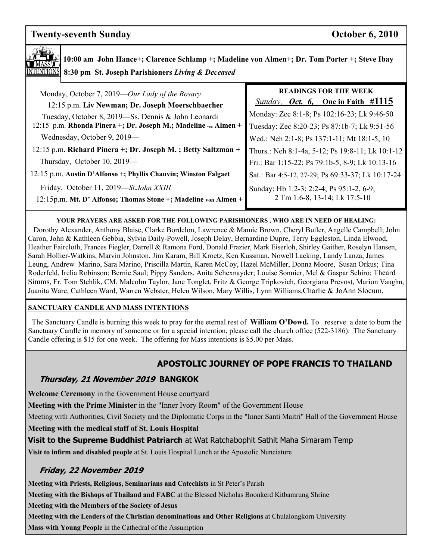# **Twenty-seventh Sunday Contract Contract Contract Contract Contract Contract Contract Contract Contract Contract Contract Contract Contract Contract Contract Contract Contract Contract Contract Contract Contract Contract C**



**10:00 am John Hance+; Clarence Schlamp +; Madeline von Almen+; Dr. Tom Porter +; Steve Ibay 8:30 pm St. Joseph Parishioners** *Living & Deceased* 

| Monday, October 7, 2019—Our Lady of the Rosary<br>12:15 p.m. Liv Newman; Dr. Joseph Moerschbaecher                     | <b>READINGS FOR THE WEEK</b><br><i>Sunday, Oct.</i> 6, One in Faith $\#1115$                |
|------------------------------------------------------------------------------------------------------------------------|---------------------------------------------------------------------------------------------|
| Tuesday, October 8, 2019—Ss. Dennis & John Leonardi<br>12:15 p.m. Rhonda Pinera +; Dr. Joseph M.; Madeline von Almen + | Monday: Zec 8:1-8; Ps 102:16-23; Lk 9:46-50<br>Tuesday: Zec 8:20-23; Ps 87:1b-7; Lk 9:51-56 |
| Wednesday, October 9, 2019—                                                                                            | Wed.: Neh 2:1-8; Ps 137:1-11; Mt 18:1-5, 10                                                 |
| 12:15 p.m. Richard Pinera +; Dr. Joseph M.; Betty Saltzman +                                                           | Thurs.: Neh 8:1-4a, 5-12; Ps 19:8-11; Lk 10:1-12                                            |
| Thursday, October 10, 2019—                                                                                            | Fri.: Bar 1:15-22; Ps 79:1b-5, 8-9; Lk 10:13-16                                             |
| 12:15 p.m. Austin D'Alfonso +; Phyllis Chauvin; Winston Falgaet                                                        | Sat.: Bar 4:5-12, 27-29; Ps 69:33-37; Lk 10:17-24                                           |
| Friday, October 11, 2019-St.John XXIII<br>12:15p.m. Mt. D' Alfonso; Thomas Stone +; Madeline von Almen +               | Sunday: Hb 1:2-3; 2:2-4; Ps 95:1-2, 6-9;<br>2 Tm 1:6-8, 13-14; Lk 17:5-10                   |

#### **YOUR PRAYERS ARE ASKED FOR THE FOLLOWING PARISHIONERS , WHO ARE IN NEED OF HEALING:**

 Dorothy Alexander, Anthony Blaise, Clarke Bordelon, Lawrence & Mamie Brown, Cheryl Butler, Angelle Campbell; John Caron, John & Kathleen Gebbia, Sylvia Daily-Powell, Joseph Delay, Bernardine Dupre, Terry Eggleston, Linda Elwood, Heather Faircloth, Frances Fiegler, Darrell & Ramona Ford, Donald Frazier, Mark Eiserloh, Shirley Gaither, Roselyn Hansen, Sarah Hollier-Watkins, Marvin Johnston, Jim Karam, Bill Kroetz, Ken Kussman, Nowell Lacking, Landy Lanza, James Leung, Andrew Marino, Sara Marino, Priscilla Martin, Karen McCoy, Hazel McMiller, Donna Moore, Susan Orkus; Tina Roderfeld, Irelia Robinson; Bernie Saul; Pippy Sanders, Anita Schexnayder; Louise Sonnier, Mel & Gaspar Schiro; Theard Simms, Fr. Tom Stehlik, CM, Malcolm Taylor, Jane Tonglet, Fritz & George Tripkovich, Georgiana Prevost, Marion Vaughn, Juanita Ware, Cathleen Ward, Warren Webster, Helen Wilson, Mary Willis, Lynn Williams,Charlie & JoAnn Slocum.

#### **SANCTUARY CANDLE AND MASS INTENTIONS**

 The Sanctuary Candle is burning this week to pray for the eternal rest of **William O'Dowd.** To reserve a date to burn the Sanctuary Candle in memory of someone or for a special intention, please call the church office (522-3186). The Sanctuary Candle offering is \$15 for one week. The offering for Mass intentions is \$5.00 per Mass.

# **APOSTOLIC JOURNEY OF POPE FRANCIS TO THAILAND**

### **Thursday, 21 November 2019 BANGKOK**

**Welcome Ceremony** in the Government House courtyard

**Meeting with the Prime Minister** in the "Inner Ivory Room" of the Government House

Meeting with Authorities, Civil Society and the Diplomatic Corps in the "Inner Santi Maitri" Hall of the Government House

**Meeting with the medical staff of St. Louis Hospital** 

**Visit to the Supreme Buddhist Patriarch** at Wat Ratchabophit Sathit Maha Simaram Temp

**Visit to infirm and disabled people** at St. Louis Hospital Lunch at the Apostolic Nunciature

# **Friday, 22 November 2019**

**Meeting with Priests, Religious, Seminarians and Catechists** in St Peter's Parish

**Meeting with the Bishops of Thailand and FABC** at the Blessed Nicholas Boonkerd Kitbamrung Shrine

**Meeting with the Members of the Society of Jesus**

**Meeting with the Leaders of the Christian denominations and Other Religions** at Chulalongkorn University

**Mass with Young People** in the Cathedral of the Assumption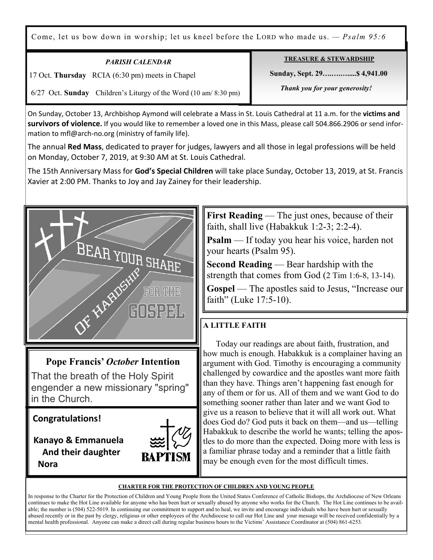Come, let us bow down in worship; let us kneel before the LORD who made us. *— Psalm 95:6*

| PARISH CALENDAR                                                  | <b>TREASURE &amp; STEWARDSHIP</b> |
|------------------------------------------------------------------|-----------------------------------|
| 17 Oct. Thursday RCIA (6:30 pm) meets in Chapel                  | Sunday, Sept. 29 \$4,941.00       |
| 6/27 Oct. Sunday Children's Liturgy of the Word (10 am/ 8:30 pm) | Thank you for your generosity!    |

On Sunday, October 13, Archbishop Aymond will celebrate a Mass in St. Louis Cathedral at 11 a.m. for the **victims and survivors of violence.** If you would like to remember a loved one in this Mass, please call 504.866.2906 or send information to mfl@arch-no.org (ministry of family life).

The annual **Red Mass**, dedicated to prayer for judges, lawyers and all those in legal professions will be held on Monday, October 7, 2019, at 9:30 AM at St. Louis Cathedral.

The 15th Anniversary Mass for **God's Special Children** will take place Sunday, October 13, 2019, at St. Francis Xavier at 2:00 PM. Thanks to Joy and Jay Zainey for their leadership.



# **Pope Francis'** *October* **Intention**

That the breath of the Holy Spirit engender a new missionary "spring" in the Church.

**Congratulations!** 

Ξ

 **Kanayo & Emmanuela And their daughter Nora**



**First Reading** — The just ones, because of their faith, shall live (Habakkuk 1:2-3; 2:2-4).

**Psalm** — If today you hear his voice, harden not your hearts (Psalm 95).

**Second Reading** — Bear hardship with the strength that comes from God (2 Tim 1:6-8, 13-14).

**Gospel** — The apostles said to Jesus, "Increase our faith" (Luke 17:5-10).

# **A LITTLE FAITH**

Today our readings are about faith, frustration, and how much is enough. Habakkuk is a complainer having an argument with God. Timothy is encouraging a community challenged by cowardice and the apostles want more faith than they have. Things aren't happening fast enough for any of them or for us. All of them and we want God to do something sooner rather than later and we want God to give us a reason to believe that it will all work out. What does God do? God puts it back on them—and us—telling Habakkuk to describe the world he wants; telling the apostles to do more than the expected. Doing more with less is a familiar phrase today and a reminder that a little faith may be enough even for the most difficult times.

#### **CHARTER FOR THE PROTECTION OF CHILDREN AND YOUNG PEOPLE**

In response to the Charter for the Protection of Children and Young People from the United States Conference of Catholic Bishops, the Archdiocese of New Orleans continues to make the Hot Line available for anyone who has been hurt or sexually abused by anyone who works for the Church. The Hot Line continues to be available; the number is (504) 522-5019. In continuing our commitment to support and to heal, we invite and encourage individuals who have been hurt or sexually abused recently or in the past by clergy, religious or other employees of the Archdiocese to call our Hot Line and your message will be received confidentially by a mental health professional. Anyone can make a direct call during regular business hours to the Victims' Assistance Coordinator at (504) 861-6253.